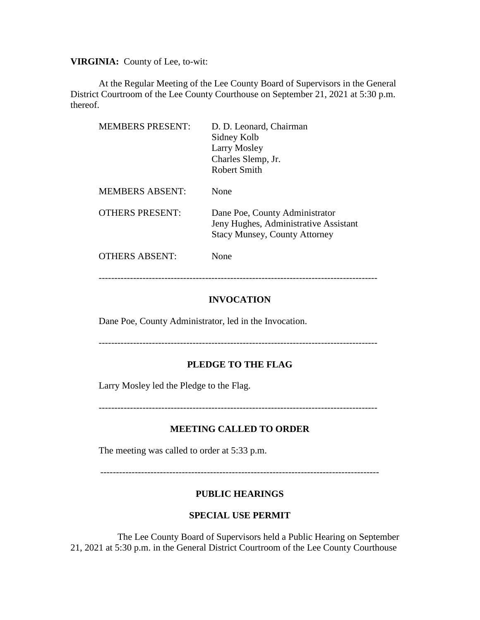**VIRGINIA:** County of Lee, to-wit:

At the Regular Meeting of the Lee County Board of Supervisors in the General District Courtroom of the Lee County Courthouse on September 21, 2021 at 5:30 p.m. thereof.

| <b>MEMBERS PRESENT:</b> | D. D. Leonard, Chairman<br>Sidney Kolb<br>Larry Mosley<br>Charles Slemp, Jr.<br>Robert Smith                    |
|-------------------------|-----------------------------------------------------------------------------------------------------------------|
| <b>MEMBERS ABSENT:</b>  | None                                                                                                            |
| <b>OTHERS PRESENT:</b>  | Dane Poe, County Administrator<br>Jeny Hughes, Administrative Assistant<br><b>Stacy Munsey, County Attorney</b> |
| <b>OTHERS ABSENT:</b>   | None                                                                                                            |

-----------------------------------------------------------------------------------------

## **INVOCATION**

Dane Poe, County Administrator, led in the Invocation.

-----------------------------------------------------------------------------------------

## **PLEDGE TO THE FLAG**

Larry Mosley led the Pledge to the Flag.

-----------------------------------------------------------------------------------------

# **MEETING CALLED TO ORDER**

The meeting was called to order at 5:33 p.m.

-----------------------------------------------------------------------------------------

# **PUBLIC HEARINGS**

## **SPECIAL USE PERMIT**

 The Lee County Board of Supervisors held a Public Hearing on September 21, 2021 at 5:30 p.m. in the General District Courtroom of the Lee County Courthouse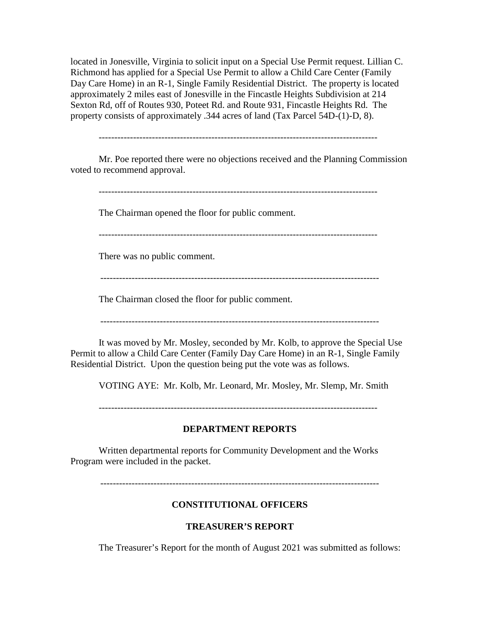located in Jonesville, Virginia to solicit input on a Special Use Permit request. Lillian C. Richmond has applied for a Special Use Permit to allow a Child Care Center (Family Day Care Home) in an R-1, Single Family Residential District. The property is located approximately 2 miles east of Jonesville in the Fincastle Heights Subdivision at 214 Sexton Rd, off of Routes 930, Poteet Rd. and Route 931, Fincastle Heights Rd. The property consists of approximately .344 acres of land (Tax Parcel 54D-(1)-D, 8).

-----------------------------------------------------------------------------------------

Mr. Poe reported there were no objections received and the Planning Commission voted to recommend approval.

The Chairman opened the floor for public comment.

There was no public comment.

-----------------------------------------------------------------------------------------

The Chairman closed the floor for public comment.

-----------------------------------------------------------------------------------------

It was moved by Mr. Mosley, seconded by Mr. Kolb, to approve the Special Use Permit to allow a Child Care Center (Family Day Care Home) in an R-1, Single Family Residential District. Upon the question being put the vote was as follows.

VOTING AYE: Mr. Kolb, Mr. Leonard, Mr. Mosley, Mr. Slemp, Mr. Smith

-----------------------------------------------------------------------------------------

#### **DEPARTMENT REPORTS**

Written departmental reports for Community Development and the Works Program were included in the packet.

-----------------------------------------------------------------------------------------

#### **CONSTITUTIONAL OFFICERS**

## **TREASURER'S REPORT**

The Treasurer's Report for the month of August 2021 was submitted as follows: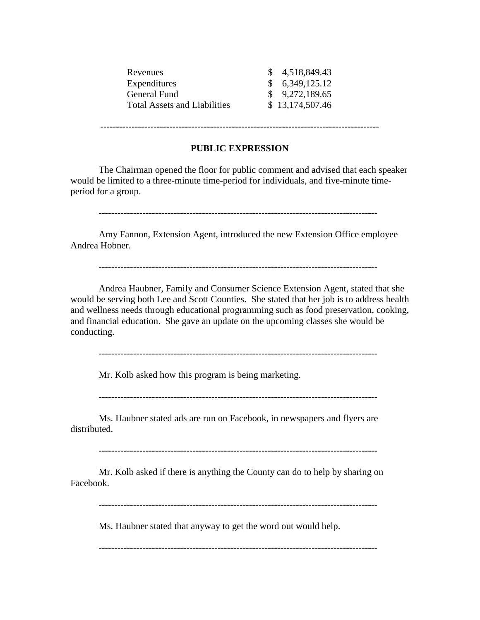| Revenues                            | \$4,518,849.43    |
|-------------------------------------|-------------------|
| Expenditures                        | \$6,349,125.12    |
| General Fund                        | $\$$ 9,272,189.65 |
| <b>Total Assets and Liabilities</b> | \$13,174,507.46   |
|                                     |                   |

-----------------------------------------------------------------------------------------

# **PUBLIC EXPRESSION**

The Chairman opened the floor for public comment and advised that each speaker would be limited to a three-minute time-period for individuals, and five-minute timeperiod for a group.

-----------------------------------------------------------------------------------------

Amy Fannon, Extension Agent, introduced the new Extension Office employee Andrea Hobner.

-----------------------------------------------------------------------------------------

Andrea Haubner, Family and Consumer Science Extension Agent, stated that she would be serving both Lee and Scott Counties. She stated that her job is to address health and wellness needs through educational programming such as food preservation, cooking, and financial education. She gave an update on the upcoming classes she would be conducting.

-----------------------------------------------------------------------------------------

Mr. Kolb asked how this program is being marketing.

-----------------------------------------------------------------------------------------

Ms. Haubner stated ads are run on Facebook, in newspapers and flyers are distributed.

-----------------------------------------------------------------------------------------

Mr. Kolb asked if there is anything the County can do to help by sharing on Facebook.

-----------------------------------------------------------------------------------------

Ms. Haubner stated that anyway to get the word out would help.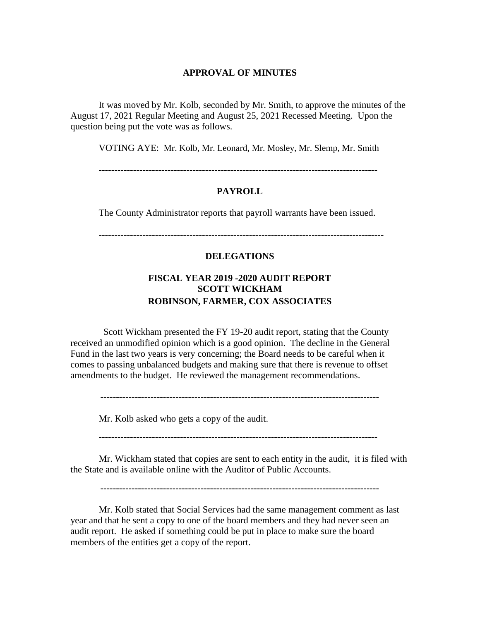#### **APPROVAL OF MINUTES**

It was moved by Mr. Kolb, seconded by Mr. Smith, to approve the minutes of the August 17, 2021 Regular Meeting and August 25, 2021 Recessed Meeting. Upon the question being put the vote was as follows.

VOTING AYE: Mr. Kolb, Mr. Leonard, Mr. Mosley, Mr. Slemp, Mr. Smith

-----------------------------------------------------------------------------------------

#### **PAYROLL**

The County Administrator reports that payroll warrants have been issued.

### **DELEGATIONS**

# **FISCAL YEAR 2019 -2020 AUDIT REPORT SCOTT WICKHAM ROBINSON, FARMER, COX ASSOCIATES**

Scott Wickham presented the FY 19-20 audit report, stating that the County received an unmodified opinion which is a good opinion. The decline in the General Fund in the last two years is very concerning; the Board needs to be careful when it comes to passing unbalanced budgets and making sure that there is revenue to offset amendments to the budget. He reviewed the management recommendations.

-----------------------------------------------------------------------------------------

Mr. Kolb asked who gets a copy of the audit.

-----------------------------------------------------------------------------------------

Mr. Wickham stated that copies are sent to each entity in the audit, it is filed with the State and is available online with the Auditor of Public Accounts.

-----------------------------------------------------------------------------------------

Mr. Kolb stated that Social Services had the same management comment as last year and that he sent a copy to one of the board members and they had never seen an audit report. He asked if something could be put in place to make sure the board members of the entities get a copy of the report.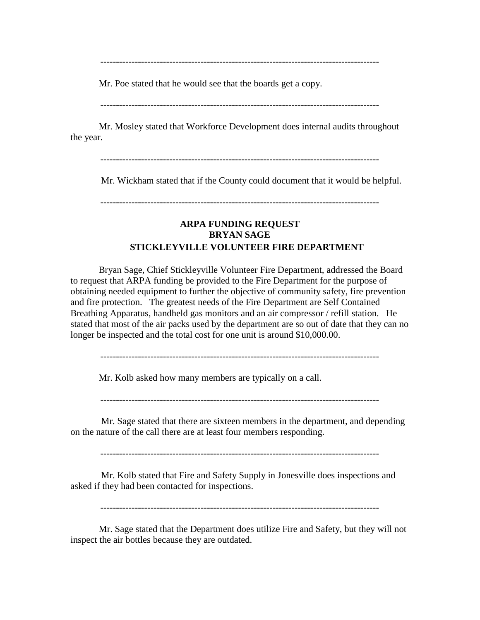-----------------------------------------------------------------------------------------

Mr. Poe stated that he would see that the boards get a copy.

Mr. Mosley stated that Workforce Development does internal audits throughout the year.

-----------------------------------------------------------------------------------------

Mr. Wickham stated that if the County could document that it would be helpful.

-----------------------------------------------------------------------------------------

# **ARPA FUNDING REQUEST BRYAN SAGE STICKLEYVILLE VOLUNTEER FIRE DEPARTMENT**

Bryan Sage, Chief Stickleyville Volunteer Fire Department, addressed the Board to request that ARPA funding be provided to the Fire Department for the purpose of obtaining needed equipment to further the objective of community safety, fire prevention and fire protection. The greatest needs of the Fire Department are Self Contained Breathing Apparatus, handheld gas monitors and an air compressor / refill station. He stated that most of the air packs used by the department are so out of date that they can no longer be inspected and the total cost for one unit is around \$10,000.00.

Mr. Kolb asked how many members are typically on a call.

Mr. Sage stated that there are sixteen members in the department, and depending on the nature of the call there are at least four members responding.

-----------------------------------------------------------------------------------------

Mr. Kolb stated that Fire and Safety Supply in Jonesville does inspections and asked if they had been contacted for inspections.

-----------------------------------------------------------------------------------------

Mr. Sage stated that the Department does utilize Fire and Safety, but they will not inspect the air bottles because they are outdated.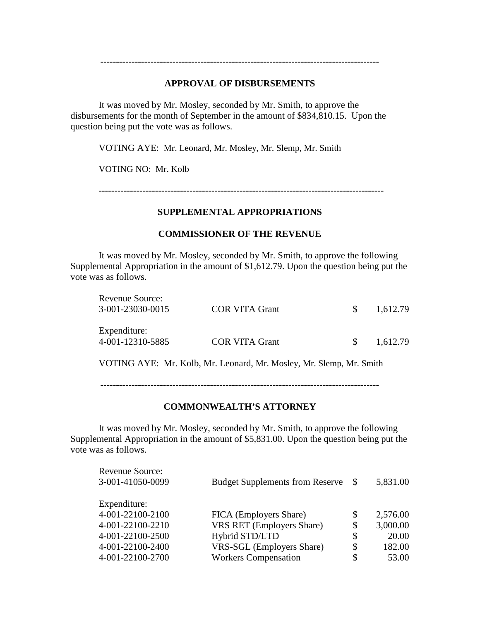#### **APPROVAL OF DISBURSEMENTS**

-----------------------------------------------------------------------------------------

It was moved by Mr. Mosley, seconded by Mr. Smith, to approve the disbursements for the month of September in the amount of \$834,810.15. Upon the question being put the vote was as follows.

VOTING AYE: Mr. Leonard, Mr. Mosley, Mr. Slemp, Mr. Smith

VOTING NO: Mr. Kolb

-------------------------------------------------------------------------------------------

#### **SUPPLEMENTAL APPROPRIATIONS**

# **COMMISSIONER OF THE REVENUE**

It was moved by Mr. Mosley, seconded by Mr. Smith, to approve the following Supplemental Appropriation in the amount of \$1,612.79. Upon the question being put the vote was as follows.

| Revenue Source:  |                                                                     |               |          |
|------------------|---------------------------------------------------------------------|---------------|----------|
| 3-001-23030-0015 | <b>COR VITA Grant</b>                                               | SS.           | 1,612.79 |
|                  |                                                                     |               |          |
| Expenditure:     |                                                                     |               |          |
| 4-001-12310-5885 | <b>COR VITA Grant</b>                                               | <sup>\$</sup> | 1,612.79 |
|                  | VOTING AYE: Mr. Kolb, Mr. Leonard, Mr. Mosley, Mr. Slemp, Mr. Smith |               |          |
|                  |                                                                     |               |          |

-----------------------------------------------------------------------------------------

# **COMMONWEALTH'S ATTORNEY**

It was moved by Mr. Mosley, seconded by Mr. Smith, to approve the following Supplemental Appropriation in the amount of \$5,831.00. Upon the question being put the vote was as follows.

| Revenue Source:  |                                        |               |          |
|------------------|----------------------------------------|---------------|----------|
| 3-001-41050-0099 | <b>Budget Supplements from Reserve</b> | <sup>\$</sup> | 5,831.00 |
|                  |                                        |               |          |
| Expenditure:     |                                        |               |          |
| 4-001-22100-2100 | FICA (Employers Share)                 | \$            | 2,576.00 |
| 4-001-22100-2210 | <b>VRS RET</b> (Employers Share)       | \$            | 3,000.00 |
| 4-001-22100-2500 | Hybrid STD/LTD                         | \$            | 20.00    |
| 4-001-22100-2400 | VRS-SGL (Employers Share)              | \$            | 182.00   |
| 4-001-22100-2700 | <b>Workers Compensation</b>            | \$            | 53.00    |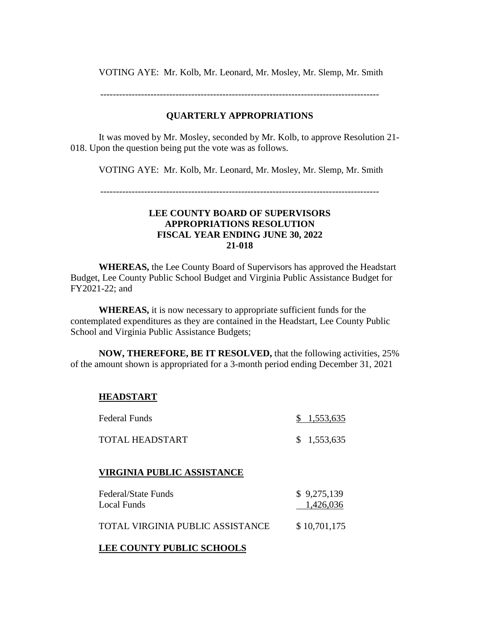VOTING AYE: Mr. Kolb, Mr. Leonard, Mr. Mosley, Mr. Slemp, Mr. Smith

-----------------------------------------------------------------------------------------

# **QUARTERLY APPROPRIATIONS**

It was moved by Mr. Mosley, seconded by Mr. Kolb, to approve Resolution 21- 018. Upon the question being put the vote was as follows.

VOTING AYE: Mr. Kolb, Mr. Leonard, Mr. Mosley, Mr. Slemp, Mr. Smith

## **LEE COUNTY BOARD OF SUPERVISORS APPROPRIATIONS RESOLUTION FISCAL YEAR ENDING JUNE 30, 2022 21-018**

**WHEREAS,** the Lee County Board of Supervisors has approved the Headstart Budget, Lee County Public School Budget and Virginia Public Assistance Budget for FY2021-22; and

**WHEREAS,** it is now necessary to appropriate sufficient funds for the contemplated expenditures as they are contained in the Headstart, Lee County Public School and Virginia Public Assistance Budgets;

**NOW, THEREFORE, BE IT RESOLVED,** that the following activities, 25% of the amount shown is appropriated for a 3-month period ending December 31, 2021

## **HEADSTART**

| Federal Funds   | \$1,553,635 |
|-----------------|-------------|
| TOTAL HEADSTART | \$1,553,635 |

## **VIRGINIA PUBLIC ASSISTANCE**

| Federal/State Funds              | \$9,275,139  |
|----------------------------------|--------------|
| Local Funds                      | 1,426,036    |
| TOTAL VIRGINIA PUBLIC ASSISTANCE | \$10,701,175 |

# **LEE COUNTY PUBLIC SCHOOLS**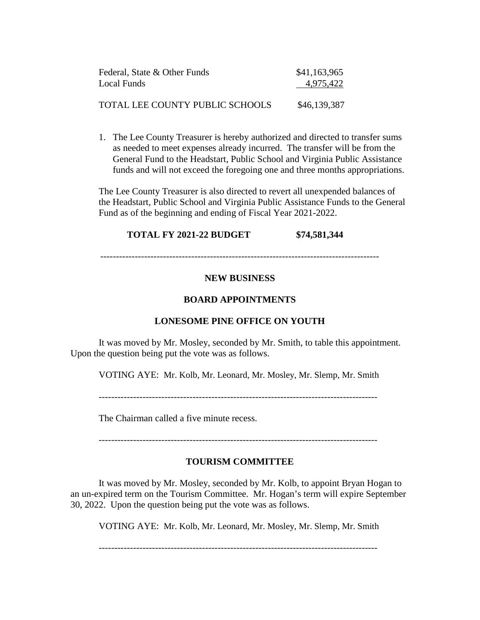| Federal, State & Other Funds    | \$41,163,965 |
|---------------------------------|--------------|
| Local Funds                     | 4,975,422    |
| TOTAL LEE COUNTY PUBLIC SCHOOLS | \$46,139,387 |

1. The Lee County Treasurer is hereby authorized and directed to transfer sums as needed to meet expenses already incurred. The transfer will be from the General Fund to the Headstart, Public School and Virginia Public Assistance funds and will not exceed the foregoing one and three months appropriations.

The Lee County Treasurer is also directed to revert all unexpended balances of the Headstart, Public School and Virginia Public Assistance Funds to the General Fund as of the beginning and ending of Fiscal Year 2021-2022.

# **TOTAL FY 2021-22 BUDGET \$74,581,344**

-----------------------------------------------------------------------------------------

# **NEW BUSINESS**

## **BOARD APPOINTMENTS**

## **LONESOME PINE OFFICE ON YOUTH**

It was moved by Mr. Mosley, seconded by Mr. Smith, to table this appointment. Upon the question being put the vote was as follows.

VOTING AYE: Mr. Kolb, Mr. Leonard, Mr. Mosley, Mr. Slemp, Mr. Smith

-----------------------------------------------------------------------------------------

The Chairman called a five minute recess.

-----------------------------------------------------------------------------------------

## **TOURISM COMMITTEE**

It was moved by Mr. Mosley, seconded by Mr. Kolb, to appoint Bryan Hogan to an un-expired term on the Tourism Committee. Mr. Hogan's term will expire September 30, 2022. Upon the question being put the vote was as follows.

VOTING AYE: Mr. Kolb, Mr. Leonard, Mr. Mosley, Mr. Slemp, Mr. Smith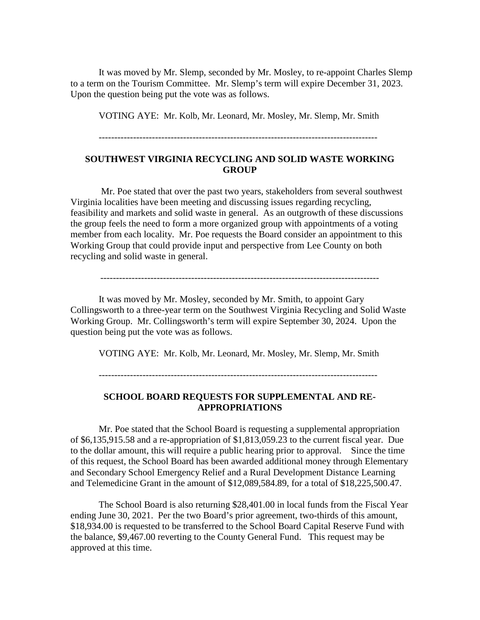It was moved by Mr. Slemp, seconded by Mr. Mosley, to re-appoint Charles Slemp to a term on the Tourism Committee. Mr. Slemp's term will expire December 31, 2023. Upon the question being put the vote was as follows.

VOTING AYE: Mr. Kolb, Mr. Leonard, Mr. Mosley, Mr. Slemp, Mr. Smith

-----------------------------------------------------------------------------------------

## **SOUTHWEST VIRGINIA RECYCLING AND SOLID WASTE WORKING GROUP**

Mr. Poe stated that over the past two years, stakeholders from several southwest Virginia localities have been meeting and discussing issues regarding recycling, feasibility and markets and solid waste in general. As an outgrowth of these discussions the group feels the need to form a more organized group with appointments of a voting member from each locality. Mr. Poe requests the Board consider an appointment to this Working Group that could provide input and perspective from Lee County on both recycling and solid waste in general.

-----------------------------------------------------------------------------------------

It was moved by Mr. Mosley, seconded by Mr. Smith, to appoint Gary Collingsworth to a three-year term on the Southwest Virginia Recycling and Solid Waste Working Group. Mr. Collingsworth's term will expire September 30, 2024. Upon the question being put the vote was as follows.

VOTING AYE: Mr. Kolb, Mr. Leonard, Mr. Mosley, Mr. Slemp, Mr. Smith

# **SCHOOL BOARD REQUESTS FOR SUPPLEMENTAL AND RE-APPROPRIATIONS**

Mr. Poe stated that the School Board is requesting a supplemental appropriation of \$6,135,915.58 and a re-appropriation of \$1,813,059.23 to the current fiscal year. Due to the dollar amount, this will require a public hearing prior to approval. Since the time of this request, the School Board has been awarded additional money through Elementary and Secondary School Emergency Relief and a Rural Development Distance Learning and Telemedicine Grant in the amount of \$12,089,584.89, for a total of \$18,225,500.47.

The School Board is also returning \$28,401.00 in local funds from the Fiscal Year ending June 30, 2021. Per the two Board's prior agreement, two-thirds of this amount, \$18,934.00 is requested to be transferred to the School Board Capital Reserve Fund with the balance, \$9,467.00 reverting to the County General Fund. This request may be approved at this time.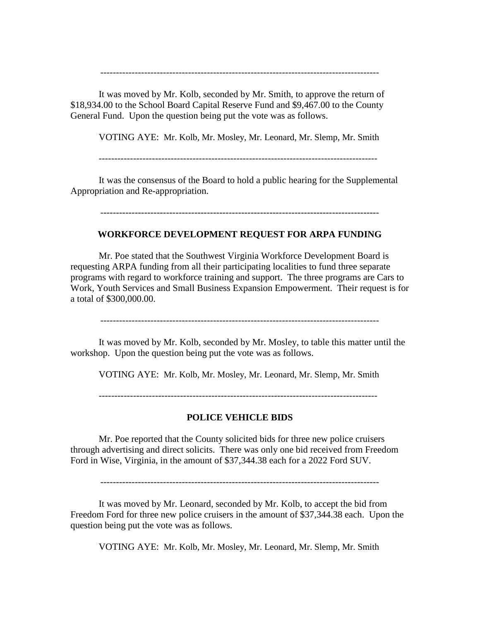It was moved by Mr. Kolb, seconded by Mr. Smith, to approve the return of \$18,934.00 to the School Board Capital Reserve Fund and \$9,467.00 to the County General Fund. Upon the question being put the vote was as follows.

VOTING AYE: Mr. Kolb, Mr. Mosley, Mr. Leonard, Mr. Slemp, Mr. Smith

-----------------------------------------------------------------------------------------

It was the consensus of the Board to hold a public hearing for the Supplemental Appropriation and Re-appropriation.

-----------------------------------------------------------------------------------------

#### **WORKFORCE DEVELOPMENT REQUEST FOR ARPA FUNDING**

Mr. Poe stated that the Southwest Virginia Workforce Development Board is requesting ARPA funding from all their participating localities to fund three separate programs with regard to workforce training and support. The three programs are Cars to Work, Youth Services and Small Business Expansion Empowerment. Their request is for a total of \$300,000.00.

-----------------------------------------------------------------------------------------

It was moved by Mr. Kolb, seconded by Mr. Mosley, to table this matter until the workshop. Upon the question being put the vote was as follows.

VOTING AYE: Mr. Kolb, Mr. Mosley, Mr. Leonard, Mr. Slemp, Mr. Smith

-----------------------------------------------------------------------------------------

## **POLICE VEHICLE BIDS**

Mr. Poe reported that the County solicited bids for three new police cruisers through advertising and direct solicits. There was only one bid received from Freedom Ford in Wise, Virginia, in the amount of \$37,344.38 each for a 2022 Ford SUV.

-----------------------------------------------------------------------------------------

It was moved by Mr. Leonard, seconded by Mr. Kolb, to accept the bid from Freedom Ford for three new police cruisers in the amount of \$37,344.38 each. Upon the question being put the vote was as follows.

VOTING AYE: Mr. Kolb, Mr. Mosley, Mr. Leonard, Mr. Slemp, Mr. Smith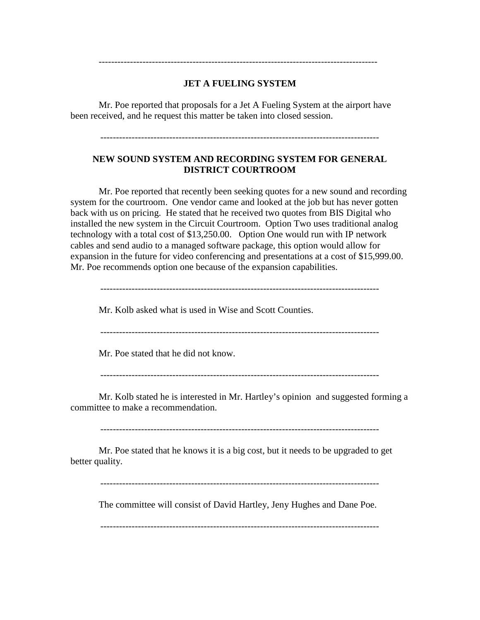# **JET A FUELING SYSTEM**

-----------------------------------------------------------------------------------------

Mr. Poe reported that proposals for a Jet A Fueling System at the airport have been received, and he request this matter be taken into closed session.

-----------------------------------------------------------------------------------------

# **NEW SOUND SYSTEM AND RECORDING SYSTEM FOR GENERAL DISTRICT COURTROOM**

Mr. Poe reported that recently been seeking quotes for a new sound and recording system for the courtroom. One vendor came and looked at the job but has never gotten back with us on pricing. He stated that he received two quotes from BIS Digital who installed the new system in the Circuit Courtroom. Option Two uses traditional analog technology with a total cost of \$13,250.00. Option One would run with IP network cables and send audio to a managed software package, this option would allow for expansion in the future for video conferencing and presentations at a cost of \$15,999.00. Mr. Poe recommends option one because of the expansion capabilities.

Mr. Kolb asked what is used in Wise and Scott Counties.

-----------------------------------------------------------------------------------------

Mr. Poe stated that he did not know.

-----------------------------------------------------------------------------------------

Mr. Kolb stated he is interested in Mr. Hartley's opinion and suggested forming a committee to make a recommendation.

-----------------------------------------------------------------------------------------

Mr. Poe stated that he knows it is a big cost, but it needs to be upgraded to get better quality.

-----------------------------------------------------------------------------------------

The committee will consist of David Hartley, Jeny Hughes and Dane Poe.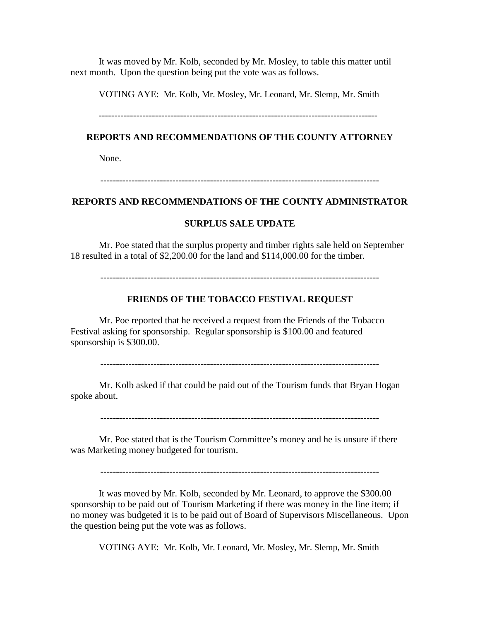It was moved by Mr. Kolb, seconded by Mr. Mosley, to table this matter until next month. Upon the question being put the vote was as follows.

VOTING AYE: Mr. Kolb, Mr. Mosley, Mr. Leonard, Mr. Slemp, Mr. Smith

### **REPORTS AND RECOMMENDATIONS OF THE COUNTY ATTORNEY**

None.

-----------------------------------------------------------------------------------------

#### **REPORTS AND RECOMMENDATIONS OF THE COUNTY ADMINISTRATOR**

#### **SURPLUS SALE UPDATE**

Mr. Poe stated that the surplus property and timber rights sale held on September 18 resulted in a total of \$2,200.00 for the land and \$114,000.00 for the timber.

-----------------------------------------------------------------------------------------

#### **FRIENDS OF THE TOBACCO FESTIVAL REQUEST**

Mr. Poe reported that he received a request from the Friends of the Tobacco Festival asking for sponsorship. Regular sponsorship is \$100.00 and featured sponsorship is \$300.00.

-----------------------------------------------------------------------------------------

Mr. Kolb asked if that could be paid out of the Tourism funds that Bryan Hogan spoke about.

-----------------------------------------------------------------------------------------

Mr. Poe stated that is the Tourism Committee's money and he is unsure if there was Marketing money budgeted for tourism.

-----------------------------------------------------------------------------------------

It was moved by Mr. Kolb, seconded by Mr. Leonard, to approve the \$300.00 sponsorship to be paid out of Tourism Marketing if there was money in the line item; if no money was budgeted it is to be paid out of Board of Supervisors Miscellaneous. Upon the question being put the vote was as follows.

VOTING AYE: Mr. Kolb, Mr. Leonard, Mr. Mosley, Mr. Slemp, Mr. Smith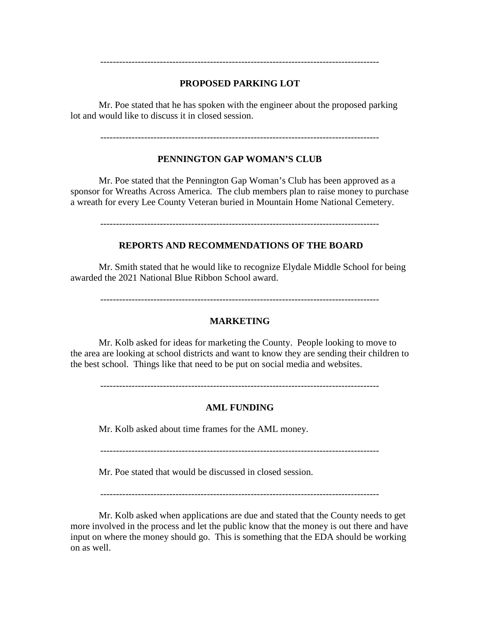# **PROPOSED PARKING LOT**

-----------------------------------------------------------------------------------------

Mr. Poe stated that he has spoken with the engineer about the proposed parking lot and would like to discuss it in closed session.

-----------------------------------------------------------------------------------------

#### **PENNINGTON GAP WOMAN'S CLUB**

Mr. Poe stated that the Pennington Gap Woman's Club has been approved as a sponsor for Wreaths Across America. The club members plan to raise money to purchase a wreath for every Lee County Veteran buried in Mountain Home National Cemetery.

-----------------------------------------------------------------------------------------

#### **REPORTS AND RECOMMENDATIONS OF THE BOARD**

Mr. Smith stated that he would like to recognize Elydale Middle School for being awarded the 2021 National Blue Ribbon School award.

-----------------------------------------------------------------------------------------

#### **MARKETING**

Mr. Kolb asked for ideas for marketing the County. People looking to move to the area are looking at school districts and want to know they are sending their children to the best school. Things like that need to be put on social media and websites.

-----------------------------------------------------------------------------------------

#### **AML FUNDING**

Mr. Kolb asked about time frames for the AML money.

-----------------------------------------------------------------------------------------

Mr. Poe stated that would be discussed in closed session.

-----------------------------------------------------------------------------------------

Mr. Kolb asked when applications are due and stated that the County needs to get more involved in the process and let the public know that the money is out there and have input on where the money should go. This is something that the EDA should be working on as well.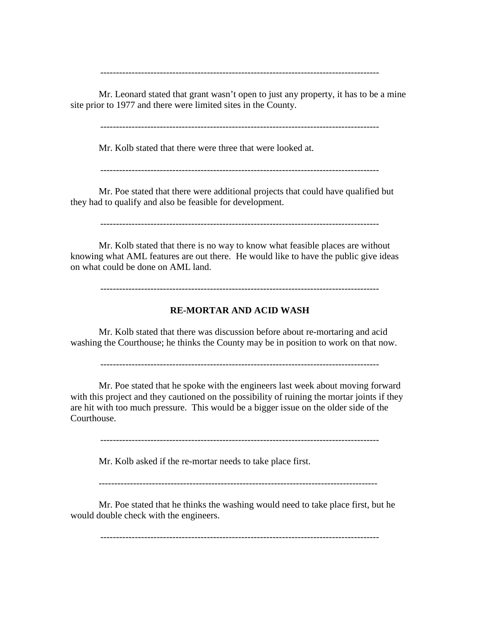Mr. Leonard stated that grant wasn't open to just any property, it has to be a mine site prior to 1977 and there were limited sites in the County.

-----------------------------------------------------------------------------------------

-----------------------------------------------------------------------------------------

Mr. Kolb stated that there were three that were looked at.

-----------------------------------------------------------------------------------------

Mr. Poe stated that there were additional projects that could have qualified but they had to qualify and also be feasible for development.

-----------------------------------------------------------------------------------------

Mr. Kolb stated that there is no way to know what feasible places are without knowing what AML features are out there. He would like to have the public give ideas on what could be done on AML land.

-----------------------------------------------------------------------------------------

#### **RE-MORTAR AND ACID WASH**

Mr. Kolb stated that there was discussion before about re-mortaring and acid washing the Courthouse; he thinks the County may be in position to work on that now.

-----------------------------------------------------------------------------------------

Mr. Poe stated that he spoke with the engineers last week about moving forward with this project and they cautioned on the possibility of ruining the mortar joints if they are hit with too much pressure. This would be a bigger issue on the older side of the Courthouse.

-----------------------------------------------------------------------------------------

Mr. Kolb asked if the re-mortar needs to take place first.

-----------------------------------------------------------------------------------------

Mr. Poe stated that he thinks the washing would need to take place first, but he would double check with the engineers.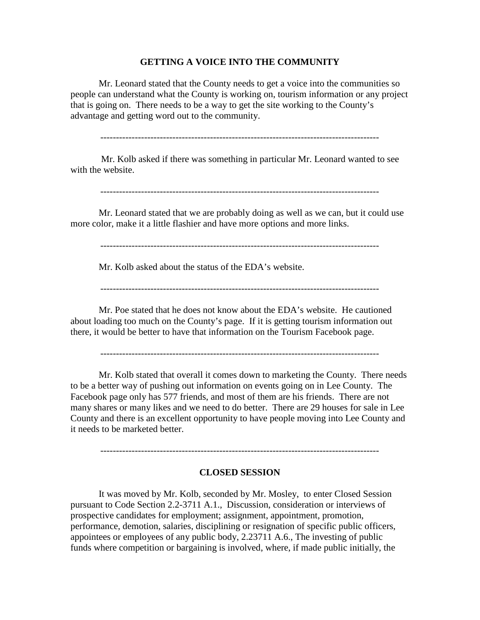#### **GETTING A VOICE INTO THE COMMUNITY**

Mr. Leonard stated that the County needs to get a voice into the communities so people can understand what the County is working on, tourism information or any project that is going on. There needs to be a way to get the site working to the County's advantage and getting word out to the community.

-----------------------------------------------------------------------------------------

Mr. Kolb asked if there was something in particular Mr. Leonard wanted to see with the website.

Mr. Leonard stated that we are probably doing as well as we can, but it could use more color, make it a little flashier and have more options and more links.

-----------------------------------------------------------------------------------------

Mr. Kolb asked about the status of the EDA's website.

Mr. Poe stated that he does not know about the EDA's website. He cautioned about loading too much on the County's page. If it is getting tourism information out there, it would be better to have that information on the Tourism Facebook page.

-----------------------------------------------------------------------------------------

Mr. Kolb stated that overall it comes down to marketing the County. There needs to be a better way of pushing out information on events going on in Lee County. The Facebook page only has 577 friends, and most of them are his friends. There are not many shares or many likes and we need to do better. There are 29 houses for sale in Lee County and there is an excellent opportunity to have people moving into Lee County and it needs to be marketed better.

#### **CLOSED SESSION**

-----------------------------------------------------------------------------------------

It was moved by Mr. Kolb, seconded by Mr. Mosley, to enter Closed Session pursuant to Code Section 2.2-3711 A.1., Discussion, consideration or interviews of prospective candidates for employment; assignment, appointment, promotion, performance, demotion, salaries, disciplining or resignation of specific public officers, appointees or employees of any public body, 2.23711 A.6., The investing of public funds where competition or bargaining is involved, where, if made public initially, the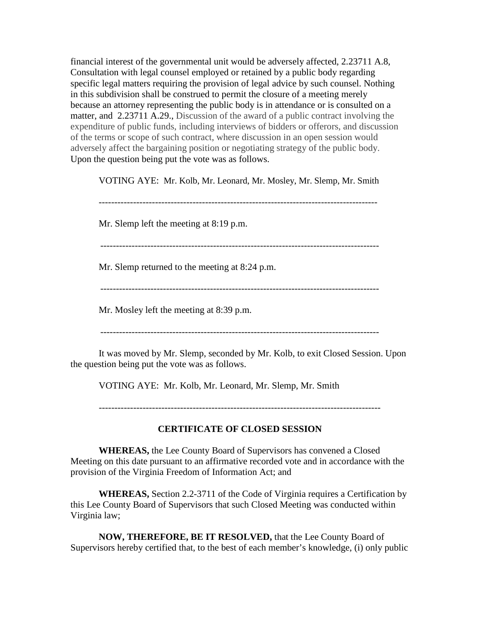financial interest of the governmental unit would be adversely affected, 2.23711 A.8, Consultation with legal counsel employed or retained by a public body regarding specific legal matters requiring the provision of legal advice by such counsel. Nothing in this subdivision shall be construed to permit the closure of a meeting merely because an attorney representing the public body is in attendance or is consulted on a matter, and 2.23711 A.29., Discussion of the award of a public contract involving the expenditure of public funds, including interviews of bidders or offerors, and discussion of the terms or scope of such contract, where discussion in an open session would adversely affect the bargaining position or negotiating strategy of the public body. Upon the question being put the vote was as follows.

VOTING AYE: Mr. Kolb, Mr. Leonard, Mr. Mosley, Mr. Slemp, Mr. Smith

-----------------------------------------------------------------------------------------

Mr. Slemp left the meeting at 8:19 p.m.

-----------------------------------------------------------------------------------------

Mr. Slemp returned to the meeting at 8:24 p.m.

Mr. Mosley left the meeting at 8:39 p.m.

It was moved by Mr. Slemp, seconded by Mr. Kolb, to exit Closed Session. Upon the question being put the vote was as follows.

VOTING AYE: Mr. Kolb, Mr. Leonard, Mr. Slemp, Mr. Smith

------------------------------------------------------------------------------------------

# **CERTIFICATE OF CLOSED SESSION**

**WHEREAS,** the Lee County Board of Supervisors has convened a Closed Meeting on this date pursuant to an affirmative recorded vote and in accordance with the provision of the Virginia Freedom of Information Act; and

**WHEREAS,** Section 2.2-3711 of the Code of Virginia requires a Certification by this Lee County Board of Supervisors that such Closed Meeting was conducted within Virginia law;

**NOW, THEREFORE, BE IT RESOLVED,** that the Lee County Board of Supervisors hereby certified that, to the best of each member's knowledge, (i) only public